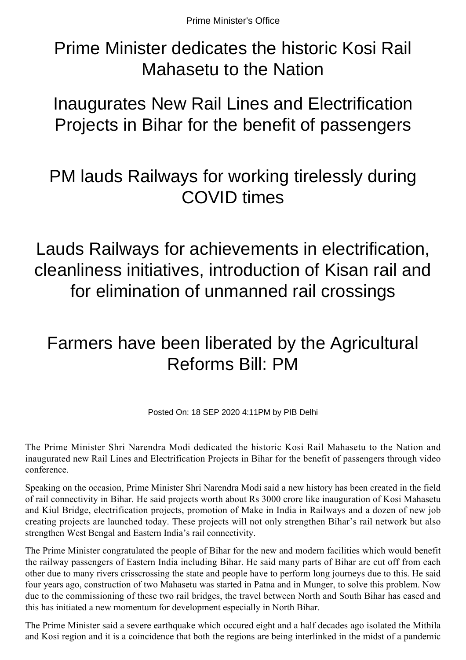Prime Minister dedicates the historic Kosi Rail Mahasetu to the Nation

Inaugurates New Rail Lines and Electrification Projects in Bihar for the benefit of passengers

## PM lauds Railways for working tirelessly during COVID times

Lauds Railways for achievements in electrification, cleanliness initiatives, introduction of Kisan rail and for elimination of unmanned rail crossings

## Farmers have been liberated by the Agricultural Reforms Bill: PM

Posted On: 18 SEP 2020 4:11PM by PIB Delhi

The Prime Minister Shri Narendra Modi dedicated the historic Kosi Rail Mahasetu to the Nation and inaugurated new Rail Lines and Electrification Projects in Bihar for the benefit of passengers through video conference.

Speaking on the occasion, Prime Minister Shri Narendra Modi said a new history has been created in the field of rail connectivity in Bihar. He said projects worth about Rs 3000 crore like inauguration of Kosi Mahasetu and Kiul Bridge, electrification projects, promotion of Make in India in Railways and a dozen of new job creating projects are launched today. These projects will not only strengthen Bihar's rail network but also strengthen West Bengal and Eastern India's rail connectivity.

The Prime Minister congratulated the people of Bihar for the new and modern facilities which would benefit the railway passengers of Eastern India including Bihar. He said many parts of Bihar are cut off from each other due to many rivers crisscrossing the state and people have to perform long journeys due to this. He said four years ago, construction of two Mahasetu was started in Patna and in Munger, to solve this problem. Now due to the commissioning of these two rail bridges, the travel between North and South Bihar has eased and this has initiated a new momentum for development especially in North Bihar.

The Prime Minister said a severe earthquake which occured eight and a half decades ago isolated the Mithila and Kosi region and it is a coincidence that both the regions are being interlinked in the midst of a pandemic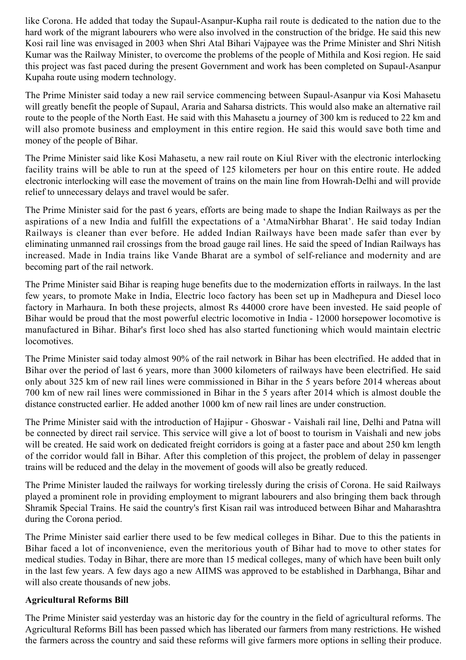like Corona. He added that today the Supaul-Asanpur-Kupha rail route is dedicated to the nation due to the hard work of the migrant labourers who were also involved in the construction of the bridge. He said this new Kosi rail line was envisaged in 2003 when Shri Atal Bihari Vajpayee was the Prime Minister and Shri Nitish Kumar was the Railway Minister, to overcome the problems of the people of Mithila and Kosi region. He said this project was fast paced during the present Government and work has been completed on Supaul-Asanpur Kupaha route using modern technology.

The Prime Minister said today a new rail service commencing between Supaul-Asanpur via Kosi Mahasetu will greatly benefit the people of Supaul, Araria and Saharsa districts. This would also make an alternative rail route to the people of the North East. He said with this Mahasetu a journey of 300 km is reduced to 22 km and will also promote business and employment in this entire region. He said this would save both time and money of the people of Bihar.

The Prime Minister said like Kosi Mahasetu, a new rail route on Kiul River with the electronic interlocking facility trains will be able to run at the speed of 125 kilometers per hour on this entire route. He added electronic interlocking will ease the movement of trains on the main line from Howrah-Delhi and will provide relief to unnecessary delays and travel would be safer.

The Prime Minister said for the past 6 years, efforts are being made to shape the Indian Railways as per the aspirations of a new India and fulfill the expectations of a 'AtmaNirbhar Bharat'. He said today Indian Railways is cleaner than ever before. He added Indian Railways have been made safer than ever by eliminating unmanned rail crossings from the broad gauge rail lines. He said the speed of Indian Railways has increased. Made in India trains like Vande Bharat are a symbol of self-reliance and modernity and are becoming part of the rail network.

The Prime Minister said Bihar is reaping huge benefits due to the modernization efforts in railways. In the last few years, to promote Make in India, Electric loco factory has been set up in Madhepura and Diesel loco factory in Marhaura. In both these projects, almost Rs 44000 crore have been invested. He said people of Bihar would be proud that the most powerful electric locomotive in India - 12000 horsepower locomotive is manufactured in Bihar. Bihar's first loco shed has also started functioning which would maintain electric locomotives.

The Prime Minister said today almost 90% of the rail network in Bihar has been electrified. He added that in Bihar over the period of last 6 years, more than 3000 kilometers of railways have been electrified. He said only about 325 km of new rail lines were commissioned in Bihar in the 5 years before 2014 whereas about 700 km of new rail lines were commissioned in Bihar in the 5 years after 2014 which is almost double the distance constructed earlier. He added another 1000 km of new rail lines are under construction.

The Prime Minister said with the introduction of Hajipur - Ghoswar - Vaishali rail line, Delhi and Patna will be connected by direct rail service. This service will give a lot of boost to tourism in Vaishali and new jobs will be created. He said work on dedicated freight corridors is going at a faster pace and about 250 km length of the corridor would fall in Bihar. After this completion of this project, the problem of delay in passenger trains will be reduced and the delay in the movement of goods will also be greatly reduced.

The Prime Minister lauded the railways for working tirelessly during the crisis of Corona. He said Railways played a prominent role in providing employment to migrant labourers and also bringing them back through Shramik Special Trains. He said the country's first Kisan rail was introduced between Bihar and Maharashtra during the Corona period.

The Prime Minister said earlier there used to be few medical colleges in Bihar. Due to this the patients in Bihar faced a lot of inconvenience, even the meritorious youth of Bihar had to move to other states for medical studies. Today in Bihar, there are more than 15 medical colleges, many of which have been built only in the last few years. A few days ago a new AIIMS was approved to be established in Darbhanga, Bihar and will also create thousands of new jobs.

## **Agricultural Reforms Bill**

The Prime Minister said yesterday was an historic day for the country in the field of agricultural reforms. The Agricultural Reforms Bill has been passed which has liberated our farmers from many restrictions. He wished the farmers across the country and said these reforms will give farmers more options in selling their produce.